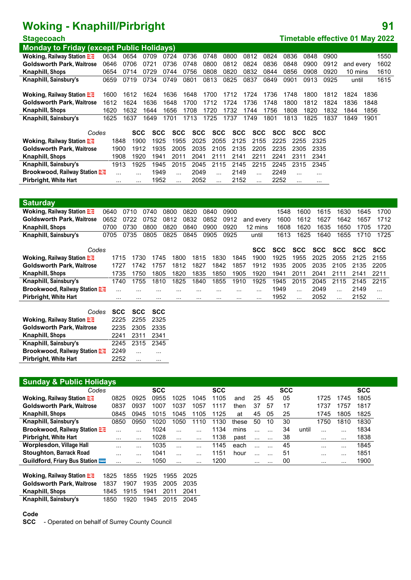# **Woking - Knaphill/Pirbright 91**

| <b>Stagecoach</b>                                |      |            |            |            |            |            |      |            |            |            |            |            | <b>Timetable effective 01 May 2022</b> |           |      |      |
|--------------------------------------------------|------|------------|------------|------------|------------|------------|------|------------|------------|------------|------------|------------|----------------------------------------|-----------|------|------|
| <b>Monday to Friday (except Public Holidays)</b> |      |            |            |            |            |            |      |            |            |            |            |            |                                        |           |      |      |
| <b>Woking, Railway Station EX</b>                | 0634 | 0654       | 0709       | 0724       | 0736       | 0748       | 0800 | 0812       |            | 0824       | 0836       | 0848       | 0900                                   |           |      | 1550 |
| <b>Goldsworth Park, Waitrose</b>                 | 0646 | 0706       | 0721       | 0736       | 0748       | 0800       | 0812 | 0824       |            | 0836       | 0848       | 0900       | 0912                                   | and every |      | 1602 |
| Knaphill, Shops                                  | 0654 | 0714       | 0729       | 0744       | 0756       | 0808       | 0820 | 0832       |            | 0844       | 0856       | 0908       | 0920                                   | 10 mins   |      | 1610 |
| <b>Knaphill, Sainsbury's</b>                     | 0659 | 0719       | 0734       | 0749       | 0801       | 0813       | 0825 | 0837       |            | 0849       | 0901       | 0913       | 0925                                   | until     |      | 1615 |
|                                                  |      |            |            |            |            |            |      |            |            |            |            |            |                                        |           |      |      |
| <b>Woking, Railway Station EX</b>                | 1600 | 1612       | 1624       | 1636       | 1648       | 1700       | 1712 | 1724       |            | 1736       | 1748       | 1800       | 1812                                   | 1824      | 1836 |      |
| <b>Goldsworth Park, Waitrose</b>                 | 1612 | 1624       | 1636       | 1648       | 1700       | 1712       | 1724 | 1736       |            | 1748       | 1800       | 1812       | 1824                                   | 1836      | 1848 |      |
| Knaphill, Shops                                  | 1620 | 1632       | 1644       | 1656       | 1708       | 1720       | 1732 | 1744       |            | 1756       | 1808       | 1820       | 1832                                   | 1844      | 1856 |      |
| <b>Knaphill, Sainsbury's</b>                     | 1625 | 1637       | 1649       | 1701       | 1713       | 1725       | 1737 | 1749       |            | 1801       | 1813       | 1825       | 1837                                   | 1849      | 1901 |      |
|                                                  |      |            |            |            |            |            |      |            |            |            |            |            |                                        |           |      |      |
| Codes                                            |      | <b>SCC</b> | <b>SCC</b> | <b>SCC</b> | <b>SCC</b> | <b>SCC</b> |      | <b>SCC</b> | <b>SCC</b> | <b>SCC</b> | <b>SCC</b> | <b>SCC</b> |                                        |           |      |      |
| <b>Woking, Railway Station EX</b>                | 1848 | 1900       | 1925       | 1955       | 2025       | 2055       |      | 2125       | 2155       | 2225       | 2255       | 2325       |                                        |           |      |      |
| <b>Goldsworth Park, Waitrose</b>                 | 1900 | 1912       | 1935       | 2005       | 2035       | 2105       |      | 2135       | 2205       | 2235       | 2305       | 2335       |                                        |           |      |      |
| Knaphill, Shops                                  | 1908 | 1920       | 1941       | 2011       | 2041       | 2111       |      | 2141       | 2211       | 2241       | 2311       | 2341       |                                        |           |      |      |
| <b>Knaphill, Sainsbury's</b>                     | 1913 | 1925       | 1945       | 2015       | 2045       | 2115       |      | 2145       | 2215       | 2245       | 2315       | 2345       |                                        |           |      |      |
| <b>Brookwood, Railway Station 25</b>             |      | .          | 1949       |            | 2049       |            |      | 2149       |            | 2249       |            | $\cdots$   |                                        |           |      |      |

**Pirbright, White Hart** ... ... ... 1952 ... 2052 ... 2152 ... 2252 ... ...

| <b>Saturday</b>                     |            |            |            |          |          |          |          |            |            |            |            |            |            |            |
|-------------------------------------|------------|------------|------------|----------|----------|----------|----------|------------|------------|------------|------------|------------|------------|------------|
| <b>Woking, Railway Station E</b>    | 0640       | 0710       | 0740       | 0800     | 0820     | 0840     | 0900     |            | 1548       | 1600       | 1615       | 1630       | 1645       | 1700       |
| <b>Goldsworth Park, Waitrose</b>    | 0652       | 0722       | 0752       | 0812     | 0832     | 0852     | 0912     | and every  | 1600       | 1612       | 1627       | 1642       | 1657       | 1712       |
| <b>Knaphill, Shops</b>              | 0700       | 0730       | 0800       | 0820     | 0840     | 0900     | 0920     | 12 mins    | 1608       | 1620       | 1635       | 1650       | 1705       | 1720       |
| <b>Knaphill, Sainsbury's</b>        | 0705       | 0735       | 0805       | 0825     | 0845     | 0905     | 0925     | until      | 1613       | 1625       | 1640       | 1655       | 1710       | 1725       |
|                                     |            |            |            |          |          |          |          |            |            |            |            |            |            |            |
| Codes                               |            |            |            |          |          |          |          | <b>SCC</b> | <b>SCC</b> | <b>SCC</b> | <b>SCC</b> | <b>SCC</b> | <b>SCC</b> | <b>SCC</b> |
| <b>Woking, Railway Station EX</b>   | 1715       | 1730       | 1745       | 1800     | 1815     | 1830     | 1845     | 1900       | 1925       | 1955       | 2025       | 2055       | 2125       | 2155       |
| <b>Goldsworth Park, Waitrose</b>    | 1727       | 1742       | 1757       | 1812     | 1827     | 1842     | 1857     | 1912       | 1935       | 2005       | 2035       | 2105       | 2135       | 2205       |
| Knaphill, Shops                     | 1735       | 1750       | 1805       | 1820     | 1835     | 1850     | 1905     | 1920       | 1941       | 2011       | 2041       | 2111       | 2141       | 2211       |
| Knaphill, Sainsbury's               | 1740       | 1755       | 1810       | 1825     | 1840     | 1855     | 1910     | 1925       | 1945       | 2015       | 2045       | 2115       | 2145       | 2215       |
| Brookwood, Railway Station <b>E</b> | $\cdots$   |            |            |          | .        | .        | .        | $\cdots$   | 1949       | $\cdots$   | 2049       | $\cdots$   | 2149       | $\cdots$   |
| Pirbright, White Hart               | $\cdots$   | $\cdots$   | $\cdots$   | $\cdots$ | $\cdots$ | $\cdots$ | $\cdots$ | $\cdots$   | 1952       | .          | 2052       | .          | 2152       | $\cdots$   |
|                                     |            |            |            |          |          |          |          |            |            |            |            |            |            |            |
| Codes                               | <b>SCC</b> | <b>SCC</b> | <b>SCC</b> |          |          |          |          |            |            |            |            |            |            |            |
| <b>Woking, Railway Station E</b>    | 2225       | 2255       | 2325       |          |          |          |          |            |            |            |            |            |            |            |
| <b>Goldsworth Park, Waitrose</b>    | 2235       | 2305       | 2335       |          |          |          |          |            |            |            |            |            |            |            |
| <b>Knaphill, Shops</b>              | 2241       | 2311       | 2341       |          |          |          |          |            |            |            |            |            |            |            |
| Knaphill, Sainsbury's               | 2245       | 2315       | 2345       |          |          |          |          |            |            |            |            |            |            |            |
| <b>Brookwood, Railway Station E</b> | 2249       |            | $\cdots$   |          |          |          |          |            |            |            |            |            |            |            |
| Pirbright, White Hart               | 2252       | .          | $\cdots$   |          |          |          |          |            |            |            |            |            |            |            |

| <b>Sunday &amp; Public Holidays</b>                    |          |          |            |          |          |            |       |          |          |            |       |               |          |            |
|--------------------------------------------------------|----------|----------|------------|----------|----------|------------|-------|----------|----------|------------|-------|---------------|----------|------------|
| Codes                                                  |          |          | <b>SCC</b> |          |          | <b>SCC</b> |       |          |          | <b>SCC</b> |       |               |          | <b>SCC</b> |
| <b>Woking, Railway Station <math>\mathbb{R}</math></b> | 0825     | 0925     | 0955       | 1025     | 1045     | 1105       | and   | 25       | 45       | 05         |       | 1725          | 1745     | 1805       |
| <b>Goldsworth Park, Waitrose</b>                       | 0837     | 0937     | 1007       | 1037     | 1057     | 1117       | then  | 37       | 57       | 17         |       | 1737          | 1757     | 1817       |
| <b>Knaphill, Shops</b>                                 | 0845     | 0945     | 1015       | 1045     | 1105     | 1125       | at    | 45       | 05       | 25         |       | 1745          | 1805     | 1825       |
| <b>Knaphill, Sainsbury's</b>                           | 0850     | 0950     | 1020       | 1050     | 1110     | 1130       | these | 50       | 10       | 30         |       | 1750          | 1810     | 1830       |
| <b>Brookwood, Railway Station E</b>                    | .        | $\cdots$ | 1024       | $\cdots$ |          | 1134       | mins  | .        | .        | 34         | until | $\sim$ $\sim$ | .        | 1834       |
| Pirbright, White Hart                                  | $\cdots$ | $\cdots$ | 1028       | $\cdots$ | $\cdots$ | 1138       | past  | $\cdots$ | $\cdots$ | 38         |       | $\cdots$      | $\cdots$ | 1838       |
| Worplesdon, Village Hall                               | $\cdots$ | $\cdots$ | 1035       | $\cdots$ | $\cdots$ | 1145       | each  | .        | .        | 45         |       | $\cdots$      | .        | 1845       |
| <b>Stoughton, Barrack Road</b>                         | $\cdots$ | $\cdots$ | 1041       | $\cdots$ | $\cdots$ | 1151       | hour  |          | $\cdots$ | 51         |       | $\cdots$      | $\cdots$ | 1851       |
| Guildford, Friary Bus Station                          | $\cdots$ | $\cdots$ | 1050       | $\cdots$ | $\cdots$ | 1200       |       | $\cdots$ | $\cdots$ | 00         |       | $\cdots$      | .        | 1900       |
|                                                        |          |          |            |          |          |            |       |          |          |            |       |               |          |            |
| Woking, Railway Station                                | 1825     | 1855     | 1925       | 1955     | 2025     |            |       |          |          |            |       |               |          |            |

| <b>Woking, Railway Station 23 1825 1855 1925 1955 2025</b> |      |                          |                     |  |
|------------------------------------------------------------|------|--------------------------|---------------------|--|
| <b>Goldsworth Park, Waitrose</b>                           |      | 1837 1907 1935 2005 2035 |                     |  |
| <b>Knaphill, Shops</b>                                     |      | 1845 1915 1941 2011 2041 |                     |  |
| <b>Knaphill, Sainsbury's</b>                               | 1850 |                          | 1920 1945 2015 2045 |  |

### **Code**

**SCC** - Operated on behalf of Surrey County Council